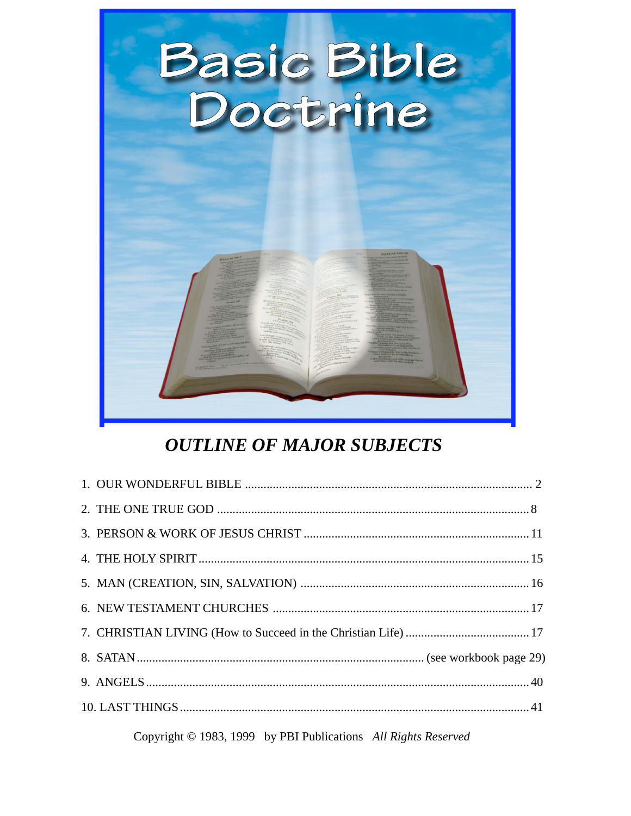

## **OUTLINE OF MAJOR SUBJECTS**

Copyright © 1983, 1999 by PBI Publications All Rights Reserved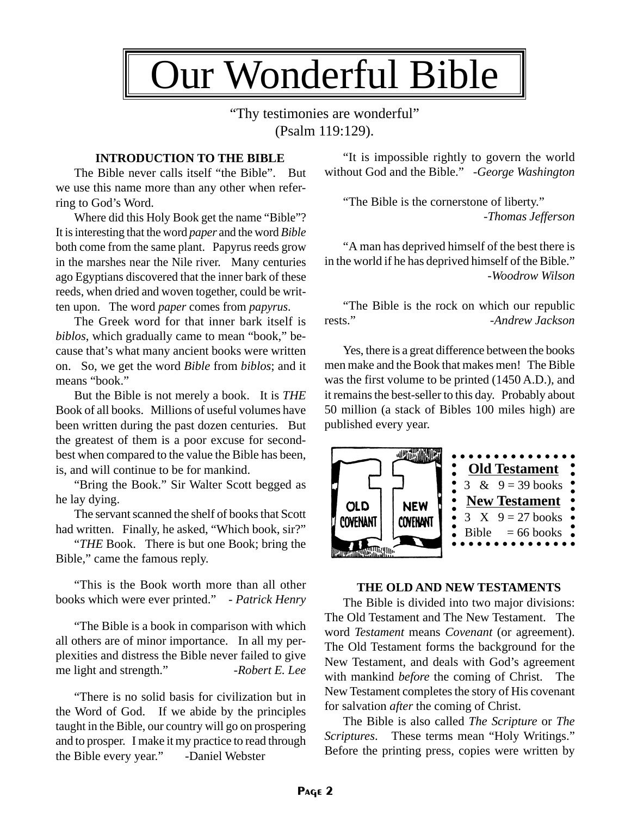

"Thy testimonies are wonderful" (Psalm 119:129).

## **INTRODUCTION TO THE BIBLE**

The Bible never calls itself "the Bible". But we use this name more than any other when referring to God's Word.

Where did this Holy Book get the name "Bible"? It is interesting that the word *paper* and the word *Bible* both come from the same plant. Papyrus reeds grow in the marshes near the Nile river. Many centuries ago Egyptians discovered that the inner bark of these reeds, when dried and woven together, could be written upon. The word *paper* comes from *papyrus*.

The Greek word for that inner bark itself is *biblos*, which gradually came to mean "book," because that's what many ancient books were written on. So, we get the word *Bible* from *biblos*; and it means "book."

But the Bible is not merely a book. It is *THE* Book of all books. Millions of useful volumes have been written during the past dozen centuries. But the greatest of them is a poor excuse for secondbest when compared to the value the Bible has been, is, and will continue to be for mankind.

"Bring the Book." Sir Walter Scott begged as he lay dying.

The servant scanned the shelf of books that Scott had written. Finally, he asked, "Which book, sir?"

"*THE* Book. There is but one Book; bring the Bible," came the famous reply.

"This is the Book worth more than all other books which were ever printed." - *Patrick Henry*

"The Bible is a book in comparison with which all others are of minor importance. In all my perplexities and distress the Bible never failed to give me light and strength." -*Robert E. Lee* 

"There is no solid basis for civilization but in the Word of God. If we abide by the principles taught in the Bible, our country will go on prospering and to prosper. I make it my practice to read through the Bible every year." -Daniel Webster

"It is impossible rightly to govern the world without God and the Bible." -*George Washington*

"The Bible is the cornerstone of liberty." -*Thomas Jefferson*

"A man has deprived himself of the best there is in the world if he has deprived himself of the Bible." -*Woodrow Wilson*

"The Bible is the rock on which our republic rests." -*Andrew Jackson*

Yes, there is a great difference between the books men make and the Book that makes men! The Bible was the first volume to be printed (1450 A.D.), and it remains the best-seller to this day. Probably about 50 million (a stack of Bibles 100 miles high) are published every year.



#### **THE OLD AND NEW TESTAMENTS**

The Bible is divided into two major divisions: The Old Testament and The New Testament. The word *Testament* means *Covenant* (or agreement). The Old Testament forms the background for the New Testament, and deals with God's agreement with mankind *before* the coming of Christ. The New Testament completes the story of His covenant for salvation *after* the coming of Christ.

The Bible is also called *The Scripture* or *The Scriptures*. These terms mean "Holy Writings." Before the printing press, copies were written by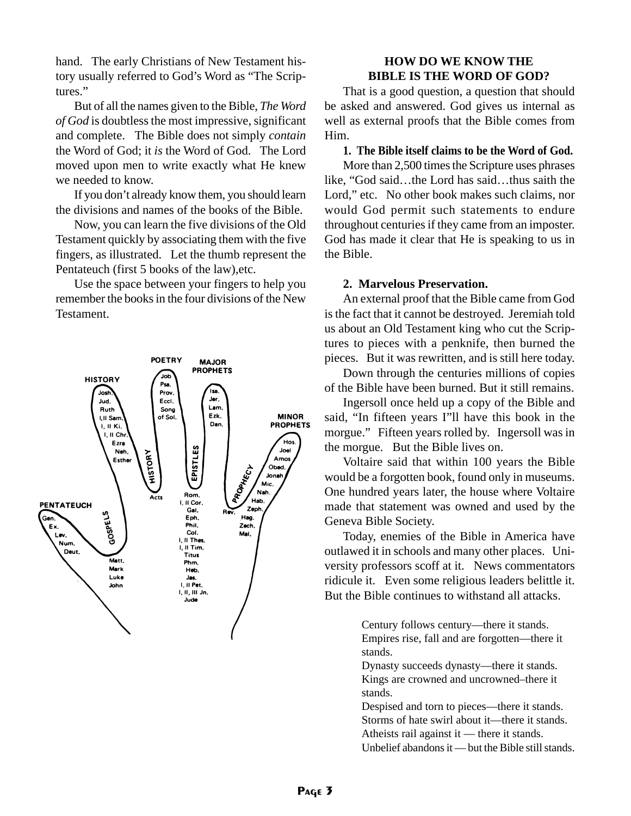hand. The early Christians of New Testament history usually referred to God's Word as "The Scriptures."

But of all the names given to the Bible, *The Word of God* is doubtless the most impressive, significant and complete. The Bible does not simply *contain* the Word of God; it *is* the Word of God. The Lord moved upon men to write exactly what He knew we needed to know.

If you don't already know them, you should learn the divisions and names of the books of the Bible.

Now, you can learn the five divisions of the Old Testament quickly by associating them with the five fingers, as illustrated. Let the thumb represent the Pentateuch (first 5 books of the law),etc.

Use the space between your fingers to help you remember the books in the four divisions of the New Testament.



## **HOW DO WE KNOW THE BIBLE IS THE WORD OF GOD?**

That is a good question, a question that should be asked and answered. God gives us internal as well as external proofs that the Bible comes from Him.

### **1. The Bible itself claims to be the Word of God.**

More than 2,500 times the Scripture uses phrases like, "God said…the Lord has said…thus saith the Lord," etc. No other book makes such claims, nor would God permit such statements to endure throughout centuries if they came from an imposter. God has made it clear that He is speaking to us in the Bible.

#### **2. Marvelous Preservation.**

An external proof that the Bible came from God is the fact that it cannot be destroyed. Jeremiah told us about an Old Testament king who cut the Scriptures to pieces with a penknife, then burned the pieces. But it was rewritten, and is still here today.

Down through the centuries millions of copies of the Bible have been burned. But it still remains.

Ingersoll once held up a copy of the Bible and said, "In fifteen years I"ll have this book in the morgue." Fifteen years rolled by. Ingersoll was in the morgue. But the Bible lives on.

Voltaire said that within 100 years the Bible would be a forgotten book, found only in museums. One hundred years later, the house where Voltaire made that statement was owned and used by the Geneva Bible Society.

Today, enemies of the Bible in America have outlawed it in schools and many other places. University professors scoff at it. News commentators ridicule it. Even some religious leaders belittle it. But the Bible continues to withstand all attacks.

> Century follows century—there it stands. Empires rise, fall and are forgotten—there it stands.

Dynasty succeeds dynasty—there it stands. Kings are crowned and uncrowned–there it stands.

Despised and torn to pieces—there it stands. Storms of hate swirl about it—there it stands. Atheists rail against it — there it stands. Unbelief abandons it — but the Bible still stands.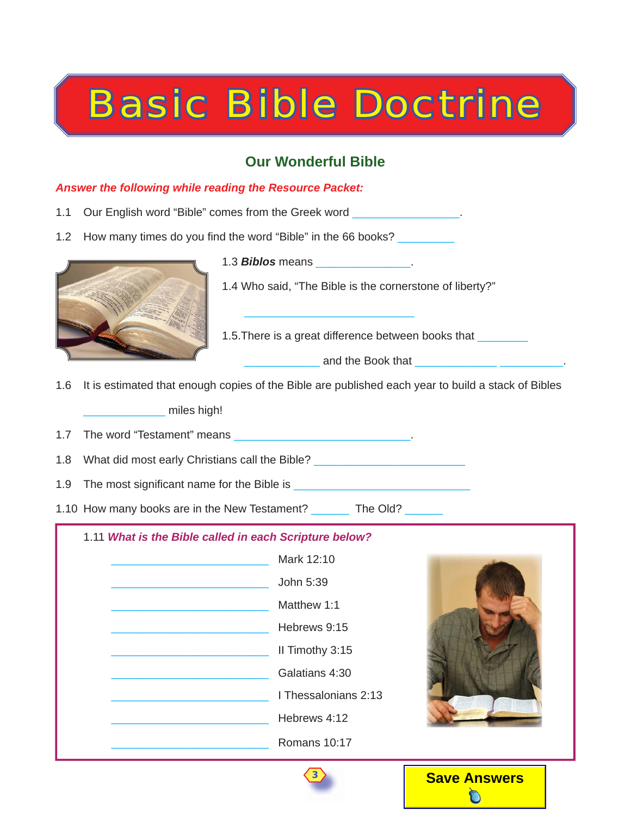# Basic Bible Doctrine

## **Our Wonderful Bible**

## *Answer the following while reading the Resource Packet:*

- 1.1 Our English word "Bible" comes from the Greek word
- 1.2 How many times do you find the word "Bible" in the 66 books?



1.3 *Biblos* means \_\_\_\_\_\_\_\_\_\_\_\_\_\_\_.

1.4 Who said, "The Bible is the cornerstone of liberty?"

1.5. There is a great difference between books that

and the Book that

1.6 It is estimated that enough copies of the Bible are published each year to build a stack of Bibles miles high!

 $\frac{1}{2}$  ,  $\frac{1}{2}$  ,  $\frac{1}{2}$  ,  $\frac{1}{2}$  ,  $\frac{1}{2}$  ,  $\frac{1}{2}$  ,  $\frac{1}{2}$  ,  $\frac{1}{2}$  ,  $\frac{1}{2}$  ,  $\frac{1}{2}$  ,  $\frac{1}{2}$  ,  $\frac{1}{2}$  ,  $\frac{1}{2}$  ,  $\frac{1}{2}$  ,  $\frac{1}{2}$  ,  $\frac{1}{2}$  ,  $\frac{1}{2}$  ,  $\frac{1}{2}$  ,  $\frac{1$ 

1.7 The word "Testament" means **Example 20** and the word the state of the state of the state of the state of the state of the state of the state of the state of the state of the state of the state of the state of the state

1.8 What did most early Christians call the Bible?

1.9 The most significant name for the Bible is

1.10 How many books are in the New Testament? The Old?

## 1.11 *What is the Bible called in each Scripture below?*





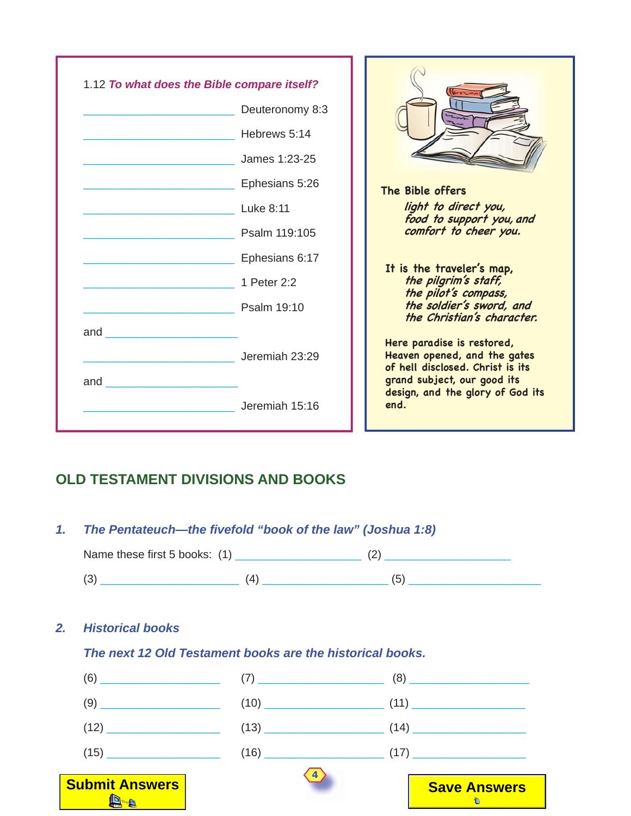

## **OLD TESTAMENT DIVISIONS AND BOOKS**

## *1. The Pentateuch—the fi vefold "book of the law" (Joshua 1:8)*

| Name these first 5 books: (1) |   |  |
|-------------------------------|---|--|
| ◡                             | ப |  |

## *2. Historical books*

## *The next 12 Old Testament books are the historical books.*